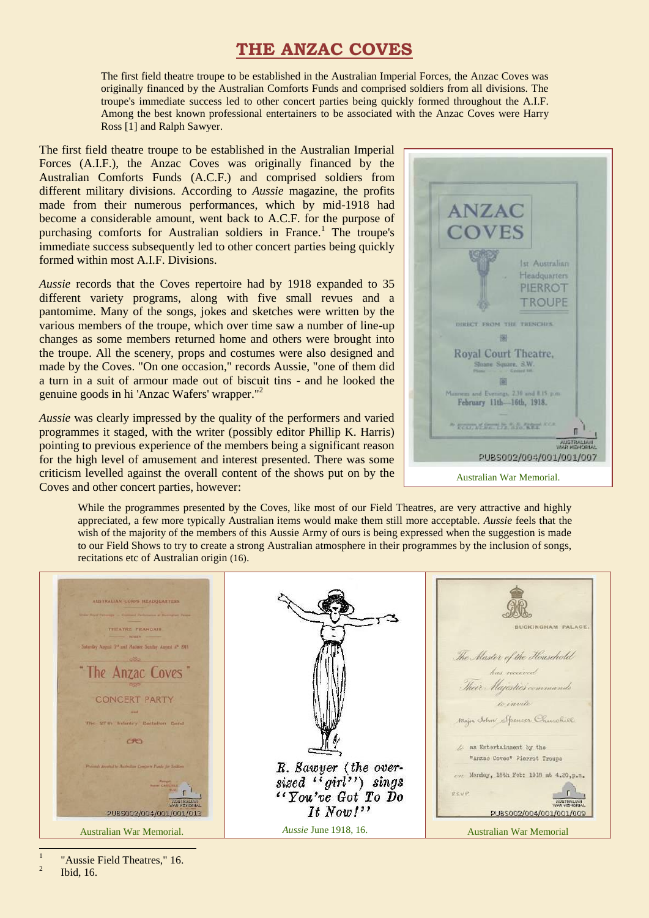# **THE ANZAC COVES**

The first field theatre troupe to be established in the Australian Imperial Forces, the Anzac Coves was originally financed by the Australian Comforts Funds and comprised soldiers from all divisions. The troupe's immediate success led to other concert parties being quickly formed throughout the A.I.F. Among the best known professional entertainers to be associated with the Anzac Coves were Harry Ross [1] and Ralph Sawyer.

The first field theatre troupe to be established in the Australian Imperial Forces (A.I.F.), the Anzac Coves was originally financed by the Australian Comforts Funds (A.C.F.) and comprised soldiers from different military divisions. According to *Aussie* magazine, the profits made from their numerous performances, which by mid-1918 had become a considerable amount, went back to A.C.F. for the purpose of purchasing comforts for Australian soldiers in France.<sup>1</sup> The troupe's immediate success subsequently led to other concert parties being quickly formed within most A.I.F. Divisions.

*Aussie* records that the Coves repertoire had by 1918 expanded to 35 different variety programs, along with five small revues and a pantomime. Many of the songs, jokes and sketches were written by the various members of the troupe, which over time saw a number of line-up changes as some members returned home and others were brought into the troupe. All the scenery, props and costumes were also designed and made by the Coves. "On one occasion," records Aussie, "one of them did a turn in a suit of armour made out of biscuit tins - and he looked the genuine goods in hi 'Anzac Wafers' wrapper." 2

*Aussie* was clearly impressed by the quality of the performers and varied programmes it staged, with the writer (possibly editor Phillip K. Harris) pointing to previous experience of the members being a significant reason for the high level of amusement and interest presented. There was some criticism levelled against the overall content of the shows put on by the Coves and other concert parties, however:



While the programmes presented by the Coves, like most of our Field Theatres, are very attractive and highly appreciated, a few more typically Australian items would make them still more acceptable. *Aussie* feels that the wish of the majority of the members of this Aussie Army of ours is being expressed when the suggestion is made to our Field Shows to try to create a strong Australian atmosphere in their programmes by the inclusion of songs, recitations etc of Australian origin (16).

| AUSTRALIAN-CORPS HEADQUARTERS<br>Unior Royal Palverage - Common Parlomance at Biannumer Peace<br>THEATRE FRANCAIS.<br>Saturday August 5 <sup>14</sup> and Matinee Sonday August 4 <sup>9</sup> 1915.<br>cities<br>"The Anzac Coves"<br><b>CONCERT PARTY</b><br>The 97th Infantry Battalion Band<br>CRO<br>Proceeds devoted to Australian Comforts Funds for Soldiers.<br><b>Massager</b><br><b>Based CARLINLE</b><br><b>RUSTRALIAI</b><br>SIMPLEHORIA<br>PUBS002/004/001/001/013 | R. Sawyer (the over-<br>sized "girl") sings<br>"You've Got To Do<br>It Now! | <b>BUCKINGHAM PALACE.</b><br>The Master of the Household<br>has received<br>Their Majestie's commands<br>to invite<br>Major John Spencer Churchiel<br>/ an Entertainment by the<br>"Anzac Coves" Pierrot Troupe<br>Monday, 18th Feb: 1918 at 4.30, p.m.<br>RS.V.P.<br>PUBS002/004/001/001/009 |
|----------------------------------------------------------------------------------------------------------------------------------------------------------------------------------------------------------------------------------------------------------------------------------------------------------------------------------------------------------------------------------------------------------------------------------------------------------------------------------|-----------------------------------------------------------------------------|-----------------------------------------------------------------------------------------------------------------------------------------------------------------------------------------------------------------------------------------------------------------------------------------------|
| Australian War Memorial.                                                                                                                                                                                                                                                                                                                                                                                                                                                         | <i>Aussie</i> June 1918, 16.                                                | <b>Australian War Memorial</b>                                                                                                                                                                                                                                                                |